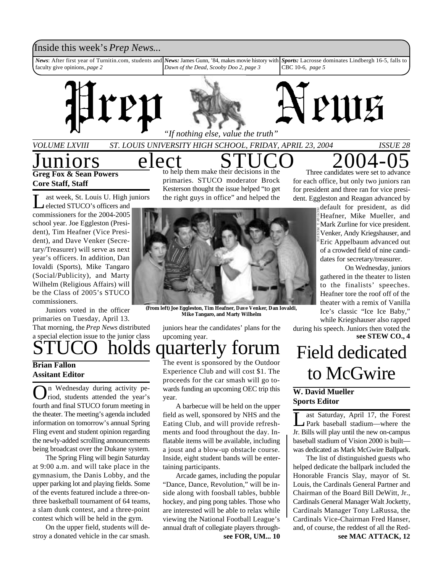### Inside this week's *Prep News*...

*News*: After first year of Turnitin.com, students and *News:* James Gunn, '84, makes movie history with faculty give opinions, *page 2 Dawn of the Dead*, *Scooby Doo 2*, *page 3 Sports:* Lacrosse dominates Lindbergh 16-5, falls to CBC 10-6, *page 5*



*VOLUME LXVIII ST. LOUIS UNIVERSITY HIGH SCHOOL, FRIDAY, APRIL 23, 2004 ISSUE 28*

## $\underline{J$ **uniors**  $\underline{e}$  **Lect** to help them make their decisions in the  $\underline{S}$  Three candidates were set to advance **Greg Fox & Sean Powers**

**Core Staff, Staff**

L ast week, St. Louis U. High<br>
elected STUCO's officers and<br>
commissioners for the 2004-2005 ast week, St. Louis U. High juniors elected STUCO's officers and school year. Joe Eggleston (President), Tim Heafner (Vice President), and Dave Venker (Secretary/Treasurer) will serve as next year's officers. In addition, Dan Iovaldi (Sports), Mike Tangaro (Social/Publicity), and Marty Wilhelm (Religious Affairs) will be the Class of 2005's STUCO commissioners.

holds quarterly forum Juniors voted in the officer primaries on Tuesday, April 13. That morning, the *Prep News* distributed a special election issue to the junior class

#### **Brian Fallon Assitant Editor**

**O**n Wednesday during activity period, students attended the year's fourth and final STUCO forum meeting in n Wednesday during activity period, students attended the year's the theater. The meeting's agenda included information on tomorrow's annual Spring Fling event and student opinion regarding the newly-added scrolling announcements being broadcast over the Dukane system.

The Spring Fling will begin Saturday at 9:00 a.m. and will take place in the gymnasium, the Danis Lobby, and the upper parking lot and playing fields. Some of the events featured include a three-onthree basketball tournament of 64 teams, a slam dunk contest, and a three-point contest which will be held in the gym.

On the upper field, students will destroy a donated vehicle in the car smash.

primaries. STUCO moderator Brock Kesterson thought the issue helped "to get the right guys in office" and helped the



**(From left) Joe Eggleston, Tim Heafner, Dave Venker, Dan Iovaldi, Mike Tangaro, and Marty Wilhelm**

juniors hear the candidates' plans for the upcoming year.

The event is sponsored by the Outdoor Experience Club and will cost \$1. The proceeds for the car smash will go towards funding an upcoming OEC trip this year.

A barbecue will be held on the upper field as well, sponsored by NHS and the Eating Club, and will provide refreshments and food throughout the day. Inflatable items will be available, including a joust and a blow-up obstacle course. Inside, eight student bands will be entertaining participants.

**see FOR, UM... 10** Arcade games, including the popular "Dance, Dance, Revolution," will be inside along with foosball tables, bubble hockey, and ping pong tables. Those who are interested will be able to relax while viewing the National Football League's annual draft of collegiate players through-

Three candidates were set to advance for each office, but only two juniors ran for president and three ran for vice president. Eggleston and Reagan advanced by

default for president, as did Heafner, Mike Mueller, and Mark Zurline for vice president. Venker, Andy Kriegshauser, and Eric Appelbaum advanced out of a crowded field of nine candidates for secretary/treasurer.

On Wednesday, juniors gathered in the theater to listen to the finalists' speeches. Heafner tore the roof off of the theater with a remix of Vanilla Ice's classic "Ice Ice Baby," while Kriegshauser also rapped

during his speech. Juniors then voted the **see STEW CO., 4**

# Field dedicated to McGwire

#### **W. David Mueller Sports Editor**

 $\overline{\underline{\mathsf{L}}}$ ast Saturday, April 17, the Forest Park baseball stadium—where the Jr. Bills will play until the new on-campus baseball stadium of Vision 2000 is built was dedicated as Mark McGwire Ballpark.

The list of distinguished guests who helped dedicate the ballpark included the Honorable Francis Slay, mayor of St. Louis, the Cardinals General Partner and Chairman of the Board Bill DeWitt, Jr., Cardinals General Manager Walt Jocketty, Cardinals Manager Tony LaRussa, the Cardinals Vice-Chairman Fred Hanser, and, of course, the reddest of all the Red**see MAC ATTACK, 12**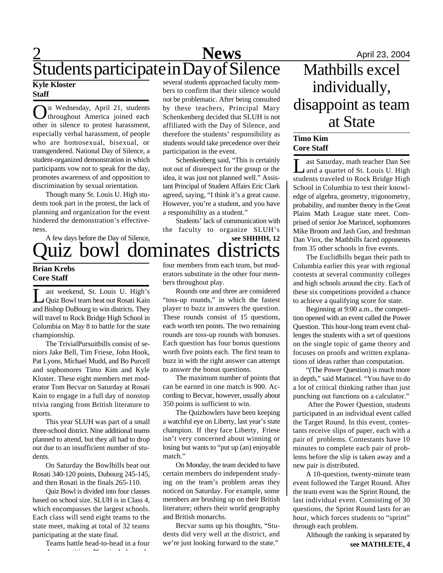## **2** April 23, 2004 Students participate in Day of Silence

#### **Kyle Kloster Staff**

O throughout America joined each n Wednesday, April 21, students other in silence to protest harassment, especially verbal harassment, of people who are homosexual, bisexual, or transgendered. National Day of Silence, a student-organized demonstration in which participants vow not to speak for the day, promotes awareness of and opposition to discrimination by sexual orientation.

Though many St. Louis U. High students took part in the protest, the lack of planning and organization for the event hindered the demonstration's effectiveness.

uiz bowl dominates di A few days before the Day of Silence,

### **Brian Krebs Core Staff**

L ast weekend, St. Louis U. High's Quiz Bowl team beat out Rosati Kain and Bishop DuBourg to win districts. They will travel to Rock Bridge High School in Columbia on May 8 to battle for the state championship.

The TrivialPursuitbills consist of seniors Jake Bell, Tim Friese, John Hook, Pat Lyons, Michael Mudd, and Bo Purcell and sophomores Timo Kim and Kyle Kloster. These eight members met moderator Tom Becvar on Saturday at Rosati Kain to engage in a full day of nonstop trivia ranging from British literature to sports.

This year SLUH was part of a small three-school district. Nine additional teams planned to attend, but they all had to drop out due to an insufficient number of students.

On Saturday the Bowlbills beat out Rosati 340-120 points, Dubourg 245-145, and then Rosati in the finals 265-110.

Quiz Bowl is divided into four classes based on school size. SLUH is in Class 4, which encompasses the largest schools. Each class will send eight teams to the state meet, making at total of 32 teams participating at the state final.

Teams battle head-to-head in a four round competition. Play includes only includes only includes only includes only includes only includes only in<br>The competition of the competition of the competition of the competition of the competition of the competition<br>

several students approached faculty members to confirm that their silence would not be problematic. After being consulted by these teachers, Principal Mary Schenkenberg decided that SLUH is not affiliated with the Day of Silence, and therefore the students' responsibility as students would take precedence over their participation in the event.

Schenkenberg said, "This is certainly not out of disrespect for the group or the idea, it was just not planned well." Assistant Principal of Student Affairs Eric Clark agreed, saying, "I think it's a great cause. However, you're a student, and you have a responsibility as a student."

**see SHHHH, 12** Students' lack of communication with the faculty to organize SLUH's

four members from each team, but moderators substitute in the other four members throughout play.

Rounds one and three are considered "toss-up rounds," in which the fastest player to buzz in answers the question. These rounds consist of 15 questions, each worth ten points. The two remaining rounds are toss-up rounds with bonuses. Each question has four bonus questions worth five points each. The first team to buzz in with the right answer can attempt to answer the bonus questions.

The maximum number of points that can be earned in one match is 900. According to Becvar, however, usually about 350 points is sufficient to win.

The Quizbowlers have been keeping a watchful eye on Liberty, last year's state champion. If they face Liberty, Friese isn't very concerned about winning or losing but wants to "put up (an) enjoyable match."

On Monday, the team decided to have certain members do independent studying on the team's problem areas they noticed on Saturday. For example, some members are brushing up on their British literature; others their world geography and British monarchs.

Becvar sums up his thoughts, "Students did very well at the district, and we're just looking forward to the state."

## Mathbills excel individually, disappoint as team at State

#### **Timo Kim Core Staff**

Last Saturday, math teacher Dan See<br>
Land a quartet of St. Louis U. High ast Saturday, math teacher Dan See students traveled to Rock Bridge High School in Columbia to test their knowledge of algebra, geometry, trigonometry, probability, and number theory in the Great Plains Math League state meet. Comprised of senior Joe Marincel, sophomores Mike Broom and Jash Guo, and freshman Dan Viox, the Mathbills faced opponents from 35 other schools in five events.

The Euclidbills began their path to Columbia earlier this year with regional contests at several community colleges and high schools around the city. Each of these six competitions provided a chance to achieve a qualifying score for state.

Beginning at 9:00 a.m., the competition opened with an event called the Power Question. This hour-long team event challenges the students with a set of questions on the single topic of game theory and focuses on proofs and written explanations of ideas rather than computation.

"(The Power Question) is much more in depth," said Marincel. "You have to do a lot of critical thinking rather than just punching out functions on a calculator."

 After the Power Question, students participated in an individual event called the Target Round. In this event, contestants receive slips of paper, each with a pair of problems. Contestants have 10 minutes to complete each pair of problems before the slip is taken away and a new pair is distributed.

A 10-question, twenty-minute team event followed the Target Round. After the team event was the Sprint Round, the last individual event. Consisting of 30 questions, the Sprint Round lasts for an hour, which forces students to "sprint" through each problem.

Although the ranking is separated by **see MATHLETE, 4**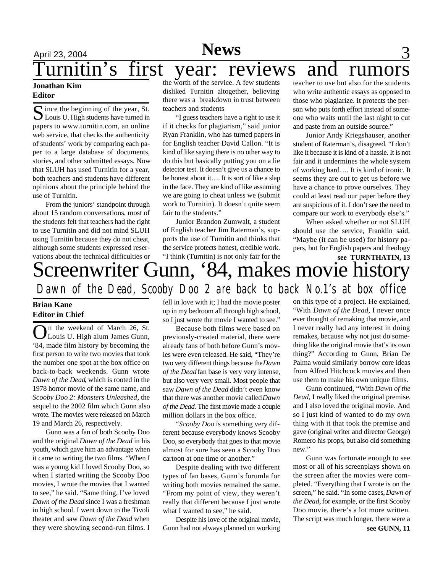## **News**

# April 23, 2004 **News** 3 urnitin's first year: reviews and rumors

#### **Jonathan Kim Editor**

S ince the beginning of the year, St.<br>Louis U. High students have turned in  $\Gamma$  ince the beginning of the year, St. papers to www.turnitin.com, an online web service, that checks the authenticity of students' work by comparing each paper to a large database of documents, stories, and other submitted essays. Now that SLUH has used Turnitin for a year, both teachers and students have different opinions about the principle behind the use of Turnitin.

From the juniors' standpoint through about 15 random conversations, most of the students felt that teachers had the right to use Turnitin and did not mind SLUH using Turnitin because they do not cheat, although some students expressed reservations about the technical difficulties or

the worth of the service. A few students disliked Turnitin altogether, believing there was a breakdown in trust between teachers and students

"I guess teachers have a right to use it if it checks for plagiarism," said junior Ryan Franklin, who has turned papers in for English teacher David Callon. "It is kind of like saying there is no other way to do this but basically putting you on a lie detector test. It doesn't give us a chance to be honest about it…. It is sort of like a slap in the face. They are kind of like assuming we are going to cheat unless we (submit work to Turnitin). It doesn't quite seem fair to the students."

Junior Brandon Zumwalt, a student of English teacher Jim Raterman's, supports the use of Turnitin and thinks that the service protects honest, credible work. "I think (Turnitin) is not only fair for the

teacher to use but also for the students who write authentic essays as opposed to those who plagiarize. It protects the person who puts forth effort instead of someone who waits until the last night to cut and paste from an outside source."

Junior Andy Kriegshauser, another student of Raterman's, disagreed. "I don't like it because it is kind of a hassle. It is not fair and it undermines the whole system of working hard…. It is kind of ironic. It seems they are out to get us before we have a chance to prove ourselves. They could at least read our paper before they are suspicious of it. I don't see the need to compare our work to everybody else's."

When asked whether or not SLUH should use the service, Franklin said, "Maybe (it can be used) for history papers, but for English papers and theology

## Screenwriter Gunn, '84, makes movie history *Dawn of the Dead, Scooby Doo 2 are back to back No.1's at box office* **see TURNTHATIN, 13**

#### **Brian Kane Editor in Chief**

On the weekend of March 26, St.<br>Louis U. High alum James Gunn, n the weekend of March 26, St. '84, made film history by becoming the first person to write two movies that took the number one spot at the box office on back-to-back weekends. Gunn wrote *Dawn of the Dead*, which is rooted in the 1978 horror movie of the same name, and *Scooby Doo 2: Monsters Unleashed*, the sequel to the 2002 film which Gunn also wrote. The movies were released on March 19 and March 26, respectively.

Gunn was a fan of both Scooby Doo and the original *Dawn of the Dead* in his youth, which gave him an advantage when it came to writing the two films. "When I was a young kid I loved Scooby Doo, so when I started writing the Scooby Doo movies, I wrote the movies that I wanted to see," he said. "Same thing, I've loved *Dawn of the Dead* since I was a freshman in high school. I went down to the Tivoli theater and saw *Dawn of the Dead* when they were showing second-run films. I fell in love with it; I had the movie poster up in my bedroom all through high school, so I just wrote the movie I wanted to see."

Because both films were based on previously-created material, there were already fans of both before Gunn's movies were even released. He said, "They're two very different things because the *Dawn of the Dead* fan base is very very intense, but also very very small. Most people that saw *Dawn of the Dead* didn't even know that there was another movie called *Dawn of the Dead*. The first movie made a couple million dollars in the box office.

"*Scooby Doo* is something very different because everybody knows Scooby Doo, so everybody that goes to that movie almost for sure has seen a Scooby Doo cartoon at one time or another."

Despite dealing with two different types of fan bases, Gunn's forumla for writing both movies remained the same. "From my point of view, they weren't really that different because I just wrote what I wanted to see," he said.

Despite his love of the original movie, Gunn had not always planned on working

on this type of a project. He explained, "With *Dawn of the Dead*, I never once ever thought of remaking that movie, and I never really had any interest in doing remakes, because why not just do something like the original movie that's its own thing?" According to Gunn, Brian De Palma would similarly borrow core ideas from Alfred Hitchcock movies and then use them to make his own unique films.

Gunn continued, "With *Dawn of the Dead*, I really liked the original premise, and I also loved the original movie. And so I just kind of wanted to do my own thing with it that took the premise and gave (original writer and director George) Romero his props, but also did something new."

**see GUNN, 11** Gunn was fortunate enough to see most or all of his screenplays shown on the screen after the movies were completed. "Everything that I wrote is on the screen," he said. "In some cases, *Dawn of the Dead,* for example, or the first Scooby Doo movie, there's a lot more written. The script was much longer, there were a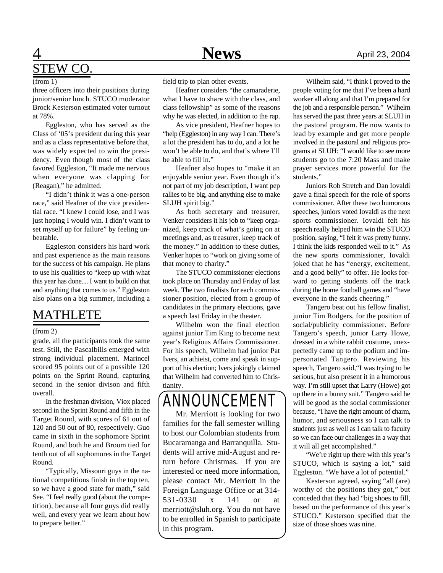## **1 News** April 23, 2004 STEW CO.

#### (from 1)

three officers into their positions during junior/senior lunch. STUCO moderator Brock Kesterson estimated voter turnout at 78%.

Eggleston, who has served as the Class of '05's president during this year and as a class representative before that, was widely expected to win the presidency. Even though most of the class favored Eggleston, "It made me nervous when everyone was clapping for (Reagan)," he admitted.

"I didn't think it was a one-person race," said Heafner of the vice presidential race. "I knew I could lose, and I was just hoping I would win. I didn't want to set myself up for failure" by feeling unbeatable.

Eggleston considers his hard work and past experience as the main reasons for the success of his campaign. He plans to use his qualities to "keep up with what this year has done.... I want to build on that and anything that comes to us." Eggleston also plans on a big summer, including a

## MATHLETE

#### (from 2)

grade, all the participants took the same test. Still, the Pascalbills emerged with strong individual placement. Marincel scored 95 points out of a possible 120 points on the Sprint Round, capturing second in the senior divison and fifth overall.

In the freshman division, Viox placed second in the Sprint Round and fifth in the Target Round, with scores of 61 out of 120 and 50 out of 80, respectively. Guo came in sixth in the sophomore Sprint Round, and both he and Broom tied for tenth out of all sophomores in the Target Round.

"Typically, Missouri guys in the national competitions finish in the top ten, so we have a good state for math," said See. "I feel really good (about the competition), because all four guys did really well, and every year we learn about how to prepare better."

field trip to plan other events.

Heafner considers "the camaraderie, what I have to share with the class, and class fellowship" as some of the reasons why he was elected, in addition to the rap.

As vice president, Heafner hopes to "help (Eggleston) in any way I can. There's a lot the president has to do, and a lot he won't be able to do, and that's where I'll be able to fill in."

Heafner also hopes to "make it an enjoyable senior year. Even though it's not part of my job description, I want pep rallies to be big, and anything else to make SLUH spirit big."

As both secretary and treasurer, Venker considers it his job to "keep organized, keep track of what's going on at meetings and, as treasurer, keep track of the money." In addition to these duties, Venker hopes to "work on giving some of that money to charity."

The STUCO commissioner elections took place on Thursday and Friday of last week. The two finalists for each commissioner position, elected from a group of candidates in the primary elections, gave a speech last Friday in the theater.

Wilhelm won the final election against junior Tim King to become next year's Religious Affairs Commissioner. For his speech, Wilhelm had junior Pat Ivers, an athieist, come and speak in support of his election; Ivers jokingly claimed that Wilhelm had converted him to Christianity.

## ANNOUNCEMENT

Mr. Merriott is looking for two families for the fall semester willing to host our Colombian students from Bucaramanga and Barranquilla. Students will arrive mid-August and return before Christmas. If you are interested or need more information, please contact Mr. Merriott in the Foreign Language Office or at 314- 531-0330 x 141 or at merriott@sluh.org. You do not have to be enrolled in Spanish to participate in this program.

Wilhelm said, "I think I proved to the people voting for me that I've been a hard worker all along and that I'm prepared for the job and a responsible person." Wilhelm has served the past three years at SLUH in the pastoral program. He now wants to lead by example and get more people involved in the pastoral and religious programs at SLUH: "I would like to see more students go to the 7:20 Mass and make prayer services more powerful for the students."

Juniors Rob Stretch and Dan Iovaldi gave a final speech for the role of sports commissioner. After these two humorous speeches, juniors voted Iovaldi as the next sports commissioner. Iovaldi felt his speech really helped him win the STUCO position, saying, "I felt it was pretty funny. I think the kids responded well to it." As the new sports commissioner, Iovaldi joked that he has "energy, excitement, and a good belly" to offer. He looks forward to getting students off the track during the home football games and "have everyone in the stands cheering."

Tangero beat out his fellow finalist, junior Tim Rodgers, for the position of social/publicity commissioner. Before Tangero's speech, junior Larry Howe, dressed in a white rabbit costume, unexpectedly came up to the podium and impersonated Tangero. Reviewing his speech, Tangero said,"I was trying to be serious, but also present it in a humorous way. I'm still upset that Larry (Howe) got up there in a bunny suit." Tangero said he will be good as the social commissioner because, "I have the right amount of charm, humor, and seriousness so I can talk to students just as well as I can talk to faculty so we can face our challenges in a way that it will all get accomplished."

"We're right up there with this year's STUCO, which is saying a lot," said Eggleston. "We have a lot of potential."

Kesterson agreed, saying "all (are) worthy of the positions they got," but conceded that they had "big shoes to fill, based on the performance of this year's STUCO." Kesterson specified that the size of those shoes was nine.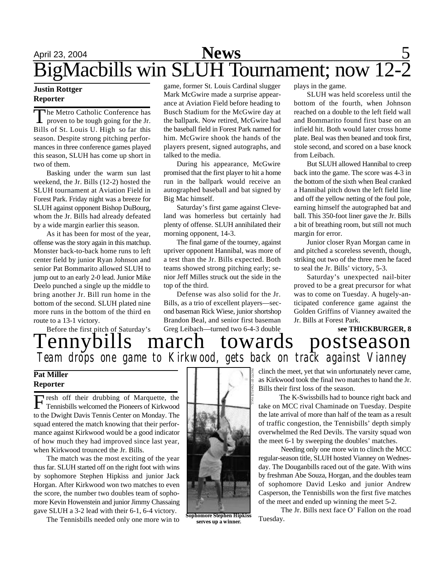# April 23, 2004 **News** 5 BigMacbills win SLUH Tournament; now 12-2

## **Reporter**

The Metro Catholic Conference has<br>proven to be tough going for the Jr. proven to be tough going for the Jr. Bills of St. Louis U. High so far this season. Despite strong pitching performances in three conference games played this season, SLUH has come up short in two of them.

Basking under the warm sun last weekend, the Jr. Bills (12-2) hosted the SLUH tournament at Aviation Field in Forest Park. Friday night was a breeze for SLUH against opponent Bishop DuBourg, whom the Jr. Bills had already defeated by a wide margin earlier this season.

As it has been for most of the year, offense was the story again in this matchup. Monster back-to-back home runs to left center field by junior Ryan Johnson and senior Pat Bommarito allowed SLUH to jump out to an early 2-0 lead. Junior Mike Deelo punched a single up the middle to bring another Jr. Bill run home in the bottom of the second. SLUH plated nine more runs in the bottom of the third en route to a 13-1 victory.

**Justin Rottger** game, former St. Louis Cardinal slugger plays in the game. Mark McGwire made a surprise appearance at Aviation Field before heading to Busch Stadium for the McGwire day at the ballpark. Now retired, McGwire had the baseball field in Forest Park named for him. McGwire shook the hands of the players present, signed autographs, and talked to the media.

> During his appearance, McGwire promised that the first player to hit a home run in the ballpark would receive an autographed baseball and bat signed by Big Mac himself.

> Saturday's first game against Cleveland was homerless but certainly had plenty of offense. SLUH annihilated their morning opponent, 14-3.

> The final game of the tourney, against upriver opponent Hannibal, was more of a test than the Jr. Bills expected. Both teams showed strong pitching early; senior Jeff Milles struck out the side in the top of the third.

> Defense was also solid for the Jr. Bills, as a trio of excellent players—second baseman Rick Wiese, junior shortshop Brandon Beal, and senior first baseman Greg Leibach—turned two 6-4-3 double

SLUH was held scoreless until the bottom of the fourth, when Johnson reached on a double to the left field wall and Bommarito found first base on an infield hit. Both would later cross home plate. Beal was then beaned and took first, stole second, and scored on a base knock from Leibach.

But SLUH allowed Hannibal to creep back into the game. The score was 4-3 in the bottom of the sixth when Beal cranked a Hannibal pitch down the left field line and off the yellow netting of the foul pole, earning himself the autographed bat and ball. This 350-foot liner gave the Jr. Bills a bit of breathing room, but still not much margin for error.

Junior closer Ryan Morgan came in and pitched a scoreless seventh, though, striking out two of the three men he faced to seal the Jr. Bills' victory, 5-3.

Saturday's unexpected nail-biter proved to be a great precursor for what was to come on Tuesday. A hugely-anticipated conference game against the Golden Griffins of Vianney awaited the Jr. Bills at Forest Park.

**see THICKBURGER, 8** Tennybills march towards postseason Before the first pitch of Saturday's<br>
Tennybills 1 *Team drops one game to Kirkwood, gets back on track against Vianney*

#### **Pat Miller Reporter**

Fresh off their drubbing of Marquette, the<br>Tennisbills welcomed the Pioneers of Kirkwood resh off their drubbing of Marquette, the to the Dwight Davis Tennis Center on Monday. The squad entered the match knowing that their performance against Kirkwood would be a good indicator of how much they had improved since last year, when Kirkwood trounced the Jr. Bills.

The match was the most exciting of the year thus far. SLUH started off on the right foot with wins by sophomore Stephen Hipkiss and junior Jack Horgan. After Kirkwood won two matches to even the score, the number two doubles team of sophomore Kevin Howenstein and junior Jimmy Chassaing gave SLUH a 3-2 lead with their 6-1, 6-4 victory.

The Tennisbills needed only one more win to



**serves up a winner.**

clinch the meet, yet that win unfortunately never came, as Kirkwood took the final two matches to hand the Jr. Bills their first loss of the season.

 The K-Swissbills had to bounce right back and take on MCC rival Chaminade on Tuesday. Despite the late arrival of more than half of the team as a result of traffic congestion, the Tennisbills' depth simply overwhelmed the Red Devils. The varsity squad won the meet 6-1 by sweeping the doubles' matches.

Needing only one more win to clinch the MCC regular-season title, SLUH hosted Vianney on Wednesday. The Douganbills raced out of the gate. With wins by freshman Abe Souza, Horgan, and the doubles team of sophomore David Lesko and junior Andrew Casperson, the Tennisbills won the first five matches of the meet and ended up winning the meet 5-2.

The Jr. Bills next face O' Fallon on the road Tuesday.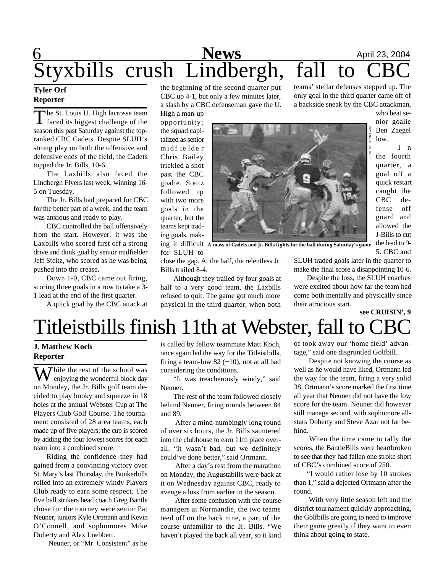## **6** April 23, 2004 Styxbills crush Lindbergh, fall to CBC teams' stellar defenses stepped up. The

#### **Tyler Orf Reporter**

The St. Louis U. High lacrosse team<br>
faced its biggest challenge of the The St. Louis U. High lacrosse team season this past Saturday against the topranked CBC Cadets. Despite SLUH's strong play on both the offensive and defensive ends of the field, the Cadets topped the Jr. Bills, 10-6.

The Laxbills also faced the Lindbergh Flyers last week, winning 16- 5 on Tuesday.

The Jr. Bills had prepared for CBC for the better part of a week, and the team was anxious and ready to play.

CBC controlled the ball offensively from the start. However, it was the Laxbills who scored first off a strong drive and dunk goal by senior midfielder Jeff Steitz, who scored as he was being pushed into the crease.

Down 1-0, CBC came out firing, scoring three goals in a row to take a 3- 1 lead at the end of the first quarter.

A quick goal by the CBC attack at

the beginning of the second quarter put CBC up 4-1, but only a few minutes later, a slash by a CBC defenseman gave the U.

High a man-up opportunity; the squad capitalized as senior midf ie lde r Chris Bailey trickled a shot past the CBC goalie. Steitz followed up with two more goals in the quarter, but the teams kept trading goals, makfor SLUH to



ing it difficult **A mass of Cadets and Jr. Bills fights for the ball during Saturday's game.**

close the gap. At the half, the relentless Jr. Bills trailed 8-4.

Although they trailed by four goals at half to a very good team, the Laxbills refused to quit. The game got much more physical in the third quarter, when both SLUH traded goals later in the quarter to make the final score a disappointing 10-6.

only goal in the third quarter came off of a backside sneak by the CBC attackman,

> who beat senior goalie Ben Zaegel low.

I n the fourth quarter, a goal off a quick restart caught the CBC defense off guard and allowed the J-Bills to cut the lead to 9- 5. CBC and

Despite the loss, the SLUH coaches were excited about how far the team had come both mentally and physically since their atrocious start.

## Titleistbills finish 11th at Webster, fall to 0 **see CRUISIN', 9**

#### **J. Matthew Koch Reporter**

Thile the rest of the school was enjoying the wonderful block day on Monday, the Jr. Bills golf team decided to play hooky and squeeze in 18 holes at the annual Webster Cup at The Players Club Golf Course. The tournament consisted of 28 area teams, each made up of five players; the cup is scored by adding the four lowest scores for each team into a combined score.

Riding the confidence they had gained from a convincing victory over St. Mary's last Thursday, the Bunkerbills rolled into an extremely windy Players Club ready to earn some respect. The five ball strikers head coach Greg Bantle chose for the tourney were senior Pat Neuner, juniors Kyle Ortmann and Kevin O'Connell, and sophomores Mike Doherty and Alex Luebbert.

Neuner, or "Mr. Consistent" as he

is called by fellow teammate Matt Koch, once again led the way for the Titleistbills, firing a team-low  $82 (+10)$ , not at all bad considering the conditions.

"It was treacherously windy," said Neuner.

The rest of the team followed closely behind Neuner, firing rounds between 84 and 89.

 After a mind-numbingly long round of over six hours, the Jr. Bills sauntered into the clubhouse to earn 11th place overall. "It wasn't bad, but we definitely could've done better," said Ortmann.

 After a day's rest from the marathon on Monday, the Augustabills were back at it on Wednesday against CBC, ready to avenge a loss from earlier in the season.

 After some confusion with the course managers at Normandie, the two teams teed off on the back nine, a part of the course unfamiliar to the Jr. Bills. "We haven't played the back all year, so it kind

of took away our 'home field' advantage," said one disgruntled Golfbill.

 Despite not knowing the course as well as he would have liked, Ortmann led the way for the team, firing a very solid 38. Ortmann's score marked the first time all year that Neuner did not have the low score for the team. Neuner did however still manage second, with sophomore allstars Doherty and Steve Azar not far behind.

 When the time came to tally the scores, the BantleBills were heartbroken to see that they had fallen one stroke short of CBC's combined score of 250.

"I would rather lose by 10 strokes than 1," said a dejected Ortmann after the round.

 With very little season left and the district tournament quickly approaching, the Golfbills are going to need to improve their game greatly if they want to even think about going to state.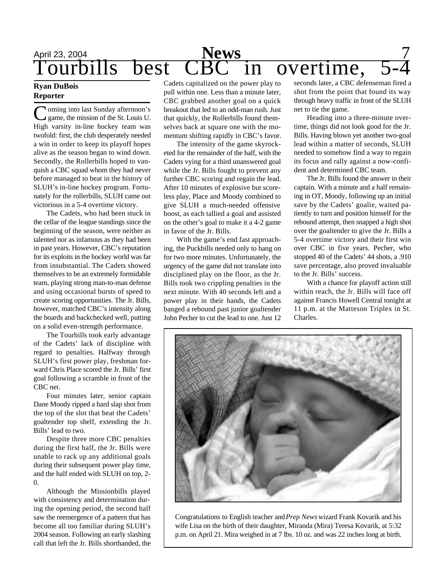## April 23, 2004<br> **Tourbills** best CBC in overtime,

#### **Ryan DuBois Reporter**

Coming into last Sunday afternoon's<br>game, the mission of the St. Louis U. oming into last Sunday afternoon's High varsity in-line hockey team was twofold: first, the club desperately needed a win in order to keep its playoff hopes alive as the season began to wind down. Secondly, the Rollerbills hoped to vanquish a CBC squad whom they had never before managed to beat in the history of SLUH's in-line hockey program. Fortunately for the rollerbills, SLUH came out victorious in a 5-4 overtime victory.

The Cadets, who had been stuck in the cellar of the league standings since the beginning of the season, were neither as talented nor as infamous as they had been in past years. However, CBC's reputation for its exploits in the hockey world was far from insubstantial. The Cadets showed themselves to be an extremely formidable team, playing strong man-to-man defense and using occasional bursts of speed to create scoring opportunities. The Jr. Bills, however, matched CBC's intensity along the boards and backchecked well, putting on a solid even-strength performance.

The Tourbills took early advantage of the Cadets' lack of discipline with regard to penalties. Halfway through SLUH's first power play, freshman forward Chris Place scored the Jr. Bills' first goal following a scramble in front of the CBC net.

Four minutes later, senior captain Dane Moody ripped a hard slap shot from the top of the slot that beat the Cadets' goaltender top shelf, extending the Jr. Bills' lead to two.

Despite three more CBC penalties during the first half, the Jr. Bills were unable to rack up any additional goals during their subsequent power play time, and the half ended with SLUH on top, 2- 0.

Although the Missionbills played with consistency and determination during the opening period, the second half saw the reemergence of a pattern that has become all too familiar during SLUH's 2004 season. Following an early slashing call that left the Jr. Bills shorthanded, the

Cadets capitalized on the power play to pull within one. Less than a minute later, CBC grabbed another goal on a quick breakout that led to an odd-man rush. Just that quickly, the Rollerbills found themselves back at square one with the momentum shifting rapidly in CBC's favor.

The intensity of the game skyrocketed for the remainder of the half, with the Cadets vying for a third unanswered goal while the Jr. Bills fought to prevent any further CBC scoring and regain the lead. After 10 minutes of explosive but scoreless play, Place and Moody combined to give SLUH a much-needed offensive boost, as each tallied a goal and assisted on the other's goal to make it a 4-2 game in favor of the Jr. Bills.

With the game's end fast approaching, the Puckbills needed only to hang on for two more minutes. Unfortunately, the urgency of the game did not translate into disciplined play on the floor, as the Jr. Bills took two crippling penalties in the next minute. With 40 seconds left and a power play in their hands, the Cadets banged a rebound past junior goaltender John Pecher to cut the lead to one. Just 12 seconds later, a CBC defenseman fired a shot from the point that found its way through heavy traffic in front of the SLUH net to tie the game.

Heading into a three-minute overtime, things did not look good for the Jr. Bills. Having blown yet another two-goal lead within a matter of seconds, SLUH needed to somehow find a way to regain its focus and rally against a now-confident and determined CBC team.

The Jr. Bills found the answer in their captain. With a minute and a half remaining in OT, Moody, following up an initial save by the Cadets' goalie, waited patiently to turn and position himself for the rebound attempt, then snapped a high shot over the goaltender to give the Jr. Bills a 5-4 overtime victory and their first win over CBC in five years. Pecher, who stopped 40 of the Cadets' 44 shots, a .910 save percentage, also proved invaluable to the Jr. Bills' success.

With a chance for playoff action still within reach, the Jr. Bills will face off against Francis Howell Central tonight at 11 p.m. at the Matteson Triplex in St. Charles.



Congratulations to English teacher and *Prep News* wizard Frank Kovarik and his wife Lisa on the birth of their daughter, Miranda (Mira) Teresa Kovarik, at 5:32 p.m. on April 21. Mira weighed in at 7 lbs. 10 oz. and was 22 inches long at birth.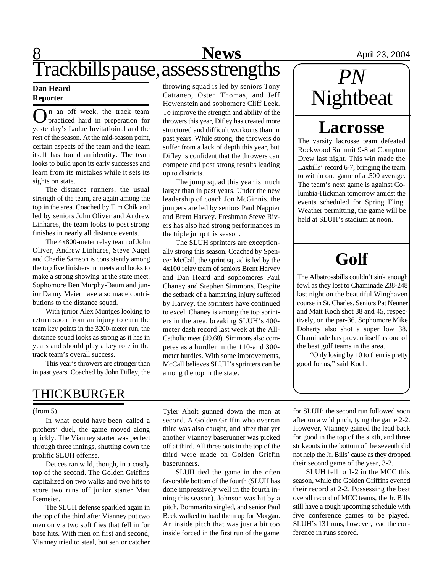# **8** April 23, 2004 Trackbills pause, assess strengths

#### **Dan Heard Reporter**

O practiced hard in preperation for n an off week, the track team yesterday's Ladue Invitatioinal and the rest of the season. At the mid-season point, certain aspects of the team and the team itself has found an identity. The team looks to build upon its early successes and learn from its mistakes while it sets its sights on state.

The distance runners, the usual strength of the team, are again among the top in the area. Coached by Tim Chik and led by seniors John Oliver and Andrew Linhares, the team looks to post strong finishes in nearly all distance events.

The 4x800-meter relay team of John Oliver, Andrew Linhares, Steve Nagel and Charlie Samson is consistently among the top five finishers in meets and looks to make a strong showing at the state meet. Sophomore Ben Murphy-Baum and junior Danny Meier have also made contributions to the distance squad.

With junior Alex Muntges looking to return soon from an injury to earn the team key points in the 3200-meter run, the distance squad looks as strong as it has in years and should play a key role in the track team's overall success.

This year's throwers are stronger than in past years. Coached by John Difley, the throwing squad is led by seniors Tony Cattaneo, Osten Thomas, and Jeff Howenstein and sophomore Cliff Leek. To improve the strength and ability of the throwers this year, Difley has created more structured and difficult workouts than in past years. While strong, the throwers do suffer from a lack of depth this year, but Difley is confident that the throwers can compete and post strong results leading up to districts.

The jump squad this year is much larger than in past years. Under the new leadership of coach Jon McGinnis, the jumpers are led by seniors Paul Nappier and Brent Harvey. Freshman Steve Rivers has also had strong performances in the triple jump this season.

The SLUH sprinters are exceptionally strong this season. Coached by Spencer McCall, the sprint squad is led by the 4x100 relay team of seniors Brent Harvey and Dan Heard and sophomores Paul Chaney and Stephen Simmons. Despite the setback of a hamstring injury suffered by Harvey, the sprinters have continued to excel. Chaney is among the top sprinters in the area, breaking SLUH's 400 meter dash record last week at the All-Catholic meet (49.68). Simmons also competes as a hurdler in the 110-and 300 meter hurdles. With some improvements, McCall believes SLUH's sprinters can be among the top in the state.

*PN* Nightbeat

## **Lacrosse**

The varsity lacrosse team defeated Rockwood Summit 9-8 at Compton Drew last night. This win made the Laxbills' record 6-7, bringing the team to within one game of a .500 average. The team's next game is against Columbia-Hickman tomorrow amidst the events scheduled for Spring Fling. Weather permitting, the game will be held at SLUH's stadium at noon.

# **Golf**

The Albatrossbills couldn't sink enough fowl as they lost to Chaminade 238-248 last night on the beautiful Winghaven course in St. Charles. Seniors Pat Neuner and Matt Koch shot 38 and 45, respectively, on the par-36. Sophomore Mike Doherty also shot a super low 38. Chaminade has proven itself as one of the best golf teams in the area.

"Only losing by 10 to them is pretty good for us," said Koch.

## THICKBURGER

#### (from 5)

In what could have been called a pitchers' duel, the game moved along quickly. The Vianney starter was perfect through three innings, shutting down the prolific SLUH offense.

Deuces ran wild, though, in a costly top of the second. The Golden Griffins capitalized on two walks and two hits to score two runs off junior starter Matt Ikemeier.

The SLUH defense sparkled again in the top of the third after Vianney put two men on via two soft flies that fell in for base hits. With men on first and second, Vianney tried to steal, but senior catcher

Tyler Aholt gunned down the man at second. A Golden Griffin who overran third was also caught, and after that yet another Vianney baserunner was picked off at third. All three outs in the top of the third were made on Golden Griffin baserunners.

SLUH tied the game in the often favorable bottom of the fourth (SLUH has done impressively well in the fourth inning this season). Johnson was hit by a pitch, Bommarito singled, and senior Paul Beck walked to load them up for Morgan. An inside pitch that was just a bit too inside forced in the first run of the game for SLUH; the second run followed soon after on a wild pitch, tying the game 2-2. However, Vianney gained the lead back for good in the top of the sixth, and three strikeouts in the bottom of the seventh did not help the Jr. Bills' cause as they dropped their second game of the year, 3-2.

SLUH fell to 1-2 in the MCC this season, while the Golden Griffins evened their record at 2-2. Possessing the best overall record of MCC teams, the Jr. Bills still have a tough upcoming schedule with five conference games to be played. SLUH's 131 runs, however, lead the conference in runs scored.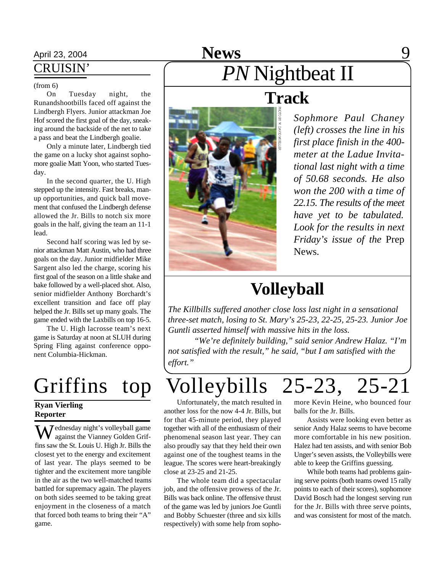## April 23, 2004 **News** 9

### CRUISIN'

#### (from 6)

On Tuesday night, the Runandshootbills faced off against the Lindbergh Flyers. Junior attackman Joe Hof scored the first goal of the day, sneaking around the backside of the net to take a pass and beat the Lindbergh goalie.

Only a minute later, Lindbergh tied the game on a lucky shot against sophomore goalie Matt Yoon, who started Tuesday.

In the second quarter, the U. High stepped up the intensity. Fast breaks, manup opportunities, and quick ball movement that confused the Lindbergh defense allowed the Jr. Bills to notch six more goals in the half, giving the team an 11-1 lead.

Second half scoring was led by senior attackman Matt Austin, who had three goals on the day. Junior midfielder Mike Sargent also led the charge, scoring his first goal of the season on a little shake and bake followed by a well-placed shot. Also, senior midfielder Anthony Borchardt's excellent transition and face off play helped the Jr. Bills set up many goals. The game ended with the Laxbills on top 16-5.

The U. High lacrosse team's next game is Saturday at noon at SLUH during Spring Fling against conference opponent Columbia-Hickman.

#### **Ryan Vierling Reporter**

Wednesday night's volleyball game against the Vianney Golden Griffins saw the St. Louis U. High Jr. Bills the closest yet to the energy and excitement of last year. The plays seemed to be tighter and the excitement more tangible in the air as the two well-matched teams battled for supremacy again. The players on both sides seemed to be taking great enjoyment in the closeness of a match that forced both teams to bring their "A" game.

# *PN* Nightbeat II



## **Track**

*Sophmore Paul Chaney (left) crosses the line in his first place finish in the 400 meter at the Ladue Invitational last night with a time of 50.68 seconds. He also won the 200 with a time of 22.15. The results of the meet have yet to be tabulated. Look for the results in next Friday's issue of the* Prep News*.*

## **Volleyball**

*The Killbills suffered another close loss last night in a sensational three-set match, losing to St. Mary's 25-23, 22-25, 25-23. Junior Joe Guntli asserted himself with massive hits in the loss.*

*"We're definitely building," said senior Andrew Halaz. "I'm not satisfied with the result," he said, "but I am satisfied with the effort."*

# Griffins top Volleybills 25-23, 25-21

Unfortunately, the match resulted in another loss for the now 4-4 Jr. Bills, but for that 45-minute period, they played together with all of the enthusiasm of their phenomenal season last year. They can also proudly say that they held their own against one of the toughest teams in the league. The scores were heart-breakingly close at 23-25 and 21-25.

The whole team did a spectacular job, and the offensive prowess of the Jr. Bills was back online. The offensive thrust of the game was led by juniors Joe Guntli and Bobby Schuester (three and six kills respectively) with some help from sopho-

more Kevin Heine, who bounced four balls for the Jr. Bills.

Assists were looking even better as senior Andy Halaz seems to have become more comfortable in his new position. Halez had ten assists, and with senior Bob Unger's seven assists, the Volleybills were able to keep the Griffins guessing.

While both teams had problems gaining serve points (both teams owed 15 rally points to each of their scores), sophomore David Bosch had the longest serving run for the Jr. Bills with three serve points, and was consistent for most of the match.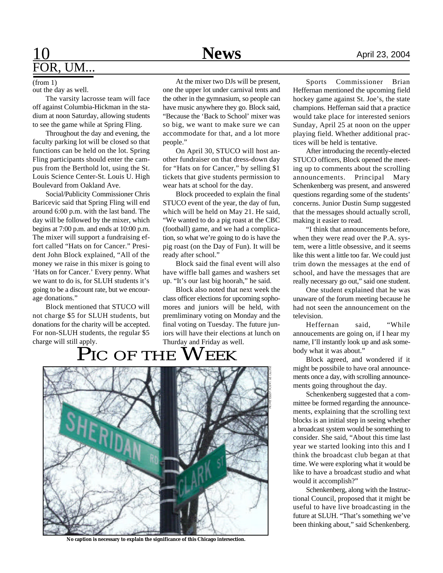## $\underline{10}$  April 23, 2004 FOR, UM...

(from 1) out the day as well.

The varsity lacrosse team will face off against Columbia-Hickman in the stadium at noon Saturday, allowing students to see the game while at Spring Fling.

Throughout the day and evening, the faculty parking lot will be closed so that functions can be held on the lot. Spring Fling participants should enter the campus from the Berthold lot, using the St. Louis Science Center-St. Louis U. High Boulevard from Oakland Ave.

Social/Publicity Commissioner Chris Baricevic said that Spring Fling will end around 6:00 p.m. with the last band. The day will be followed by the mixer, which begins at 7:00 p.m. and ends at 10:00 p.m. The mixer will support a fundraising effort called "Hats on for Cancer." President John Block explained, "All of the money we raise in this mixer is going to 'Hats on for Cancer.' Every penny. What we want to do is, for SLUH students it's going to be a discount rate, but we encourage donations."

Block mentioned that STUCO will not charge \$5 for SLUH students, but donations for the charity will be accepted. For non-SLUH students, the regular \$5 charge will still apply.

At the mixer two DJs will be present, one the upper lot under carnival tents and the other in the gymnasium, so people can have music anywhere they go. Block said, "Because the 'Back to School' mixer was so big, we want to make sure we can accommodate for that, and a lot more people."

On April 30, STUCO will host another fundraiser on that dress-down day for "Hats on for Cancer," by selling \$1 tickets that give students permission to wear hats at school for the day.

Block proceeded to explain the final STUCO event of the year, the day of fun, which will be held on May 21. He said, "We wanted to do a pig roast at the CBC (football) game, and we had a complication, so what we're going to do is have the pig roast (on the Day of Fun). It will be ready after school."

Block said the final event will also have wiffle ball games and washers set up. "It's our last big hoorah," he said.

Block also noted that next week the class officer elections for upcoming sophomores and juniors will be held, with premliminary voting on Monday and the final voting on Tuesday. The future juniors will have their elections at lunch on Thurday and Friday as well.

## PIC OF THE WEEK



**No caption is necessary to explain the significance of this Chicago intersection.**

Sports Commissioner Brian Heffernan mentioned the upcoming field hockey game against St. Joe's, the state champions. Heffernan said that a practice would take place for interested seniors

tices will be held is tentative. After introducing the recently-elected STUCO officers, Block opened the meeting up to comments about the scrolling announcements. Principal Mary Schenkenberg was present, and answered questions regarding some of the students' concerns. Junior Dustin Sump suggested that the messages should actually scroll, making it easier to read.

Sunday, April 25 at noon on the upper playing field. Whether additional prac-

"I think that announcements before, when they were read over the P.A. system, were a little obsessive, and it seems like this went a little too far. We could just trim down the messages at the end of school, and have the messages that are really necessary go out," said one student.

One student explained that he was unaware of the forum meeting because he had not seen the announcement on the television.

Heffernan said, "While annoucements are going on, if I hear my name, I'll instantly look up and ask somebody what it was about."

Block agreed, and wondered if it might be possibile to have oral announcements once a day, with scrolling announcements going throughout the day.

Schenkenberg suggested that a committee be formed regarding the announcements, explaining that the scrolling text blocks is an initial step in seeing whether a broadcast system would be something to consider. She said, "About this time last year we started looking into this and I think the broadcast club began at that time. We were exploring what it would be like to have a broadcast studio and what would it accomplish?"

Schenkenberg, along with the Instructional Council, proposed that it might be useful to have live broadcasting in the future at SLUH. "That's something we've been thinking about," said Schenkenberg.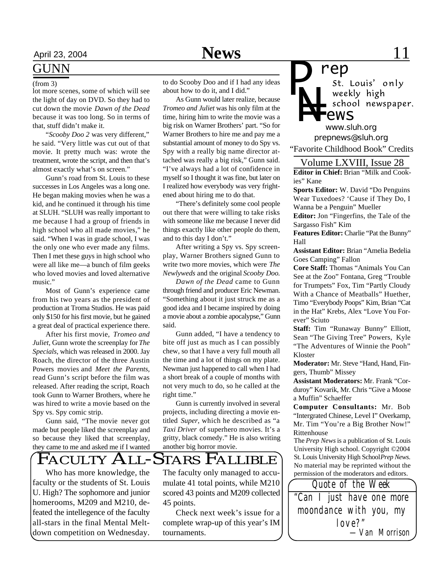## April 23, 2004 **News** 11

## GUNN

lot more scenes, some of which will see the light of day on DVD. So they had to cut down the movie *Dawn of the Dead* because it was too long. So in terms of that, stuff didn't make it.

"*Scooby Doo 2* was very different," he said. "Very little was cut out of that movie. It pretty much was: wrote the treatment, wrote the script, and then that's almost exactly what's on screen."

Gunn's road from St. Louis to these successes in Los Angeles was a long one. He began making movies when he was a kid, and he continued it through his time at SLUH. "SLUH was really important to me because I had a group of friends in high school who all made movies," he said. "When I was in grade school, I was the only one who ever made any films. Then I met these guys in high school who were all like me—a bunch of film geeks who loved movies and loved alternative music."

Most of Gunn's experience came from his two years as the president of production at Troma Studios. He was paid only \$150 for his first movie, but he gained a great deal of practical experience there.

After his first movie, *Tromeo and Juliet*, Gunn wrote the screenplay for *The Specials*, which was released in 2000. Jay Roach, the director of the three Austin Powers movies and *Meet the Parents*, read Gunn's script before the film was released. After reading the script, Roach took Gunn to Warner Brothers, where he was hired to write a movie based on the Spy vs. Spy comic strip.

Gunn said, "The movie never got made but people liked the screenplay and so because they liked that screenplay, they came to me and asked me if I wanted

(from 3) to do Scooby Doo and if I had any ideas about how to do it, and I did."

> As Gunn would later realize, because *Tromeo and Juliet* was his only film at the time, hiring him to write the movie was a big risk on Warner Brothers' part. "So for Warner Brothers to hire me and pay me a substantial amount of money to do Spy vs. Spy with a really big name director attached was really a big risk," Gunn said. "I've always had a lot of confidence in myself so I thought it was fine, but later on I realized how everybody was very frightened about hiring me to do that.

> "There's definitely some cool people out there that were willing to take risks with someone like me because I never did things exactly like other people do them, and to this day I don't."

> After writing a Spy vs. Spy screenplay, Warner Brothers signed Gunn to write two more movies, which were *The Newlyweds* and the original *Scooby Doo*.

> *Dawn of the Dead* came to Gunn through friend and producer Eric Newman. "Something about it just struck me as a good idea and I became inspired by doing a movie about a zombie apocalypse," Gunn said.

> Gunn added, "I have a tendency to bite off just as much as I can possibly chew, so that I have a very full mouth all the time and a lot of things on my plate. Newman just happened to call when I had a short break of a couple of months with not very much to do, so he called at the right time."

> Gunn is currently involved in several projects, including directing a movie entitled *Super*, which he described as "a *Taxi Driver* of superhero movies. It's a gritty, black comedy." He is also writing another big horror movie.

> The faculty only managed to accumulate 41 total points, while M210 scored 43 points and M209 collected

> Check next week's issue for a complete wrap-up of this year's IM

FACULTY ALL-STARS FALLIBLE

45 points.

tournaments.

Who has more knowledge, the faculty or the students of St. Louis U. High? The sophomore and junior homerooms, M209 and M210, defeated the intellegence of the faculty all-stars in the final Mental Meltdown competition on Wednesday.

*P*

*N=* school newspaper. *ews www.sluh.org prepnews@sluh.org* "Favorite Childhood Book" Credits Volume LXVIII, Issue 28

**Editor in Chief:** Brian "Milk and Cookies" Kane

*rep*

weekly high

**Sports Editor:** W. David "Do Penguins Wear Tuxedoes? 'Cause if They Do, I Wanna be a Penguin" Mueller

**Editor:** Jon "Fingerfins, the Tale of the Sargasso Fish" Kim

**Features Editor:** Charlie "Pat the Bunny" Hall

**Assistant Editor:** Brian "Amelia Bedelia Goes Camping" Fallon

**Core Staff:** Thomas "Animals You Can See at the Zoo" Fontana, Greg "Trouble for Trumpets" Fox, Tim "Partly Cloudy With a Chance of Meatballs" Huether, Timo "Everybody Poops" Kim, Brian "Cat in the Hat" Krebs, Alex "Love You Forever" Sciuto

**Staff:** Tim "Runaway Bunny" Elliott, Sean "The Giving Tree" Powers, Kyle "The Adventures of Winnie the Pooh" Kloster

**Moderator:** Mr. Steve "Hand, Hand, Fingers, Thumb" Missey

**Assistant Moderators:** Mr. Frank "Corduroy" Kovarik, Mr. Chris "Give a Moose a Muffin" Schaeffer

**Computer Consultants:** Mr. Bob "Intergrated Chinese, Level I" Overkamp, Mr. Tim "You're a Big Brother Now!" Rittenhouse

The *Prep News* is a publication of St. Louis University High school. Copyright ©2004 St. Louis University High School *Prep News.* No material may be reprinted without the permission of the moderators and editors.

*"Can I just have one more moondance with you, my love?" Quote of the Week —Van Morrison*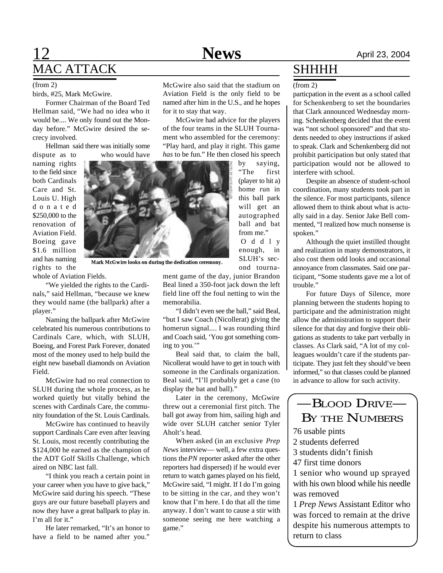## **12 News** April 23, 2004 MAC ATTACK

birds, #25, Mark McGwire.

Former Chairman of the Board Ted Hellman said, "We had no idea who it would be.... We only found out the Monday before." McGwire desired the secrecy involved.

Hellman said there was initially some dispute as to who would have

naming rights to the field since both Cardinals Care and St. Louis U. High d o n a t e d \$250,000 to the renovation of Aviation Field. Boeing gave \$1.6 million and has naming rights to the

whole of Aviation Fields.

"We yielded the rights to the Cardinals," said Hellman, "because we knew they would name (the ballpark) after a player."

Naming the ballpark after McGwire celebrated his numerous contributions to Cardinals Care, which, with SLUH, Boeing, and Forest Park Forever, donated most of the money used to help build the eight new baseball diamonds on Aviation Field.

McGwire had no real connection to SLUH during the whole process, as he worked quietly but vitally behind the scenes with Cardinals Care, the community foundation of the St. Louis Cardinals.

McGwire has continued to heavily support Cardinals Care even after leaving St. Louis, most recently contributing the \$124,000 he earned as the champion of the ADT Golf Skills Challenge, which aired on NBC last fall.

"I think you reach a certain point in your career when you have to give back," McGwire said during his speech. "These guys are our future baseball players and now they have a great ballpark to play in. I'm all for it."

He later remarked, "It's an honor to have a field to be named after you."

(from 2) McGwire also said that the stadium on Aviation Field is the only field to be named after him in the U.S., and he hopes for it to stay that way.

> McGwire had advice for the players of the four teams in the SLUH Tournament who assembled for the ceremony: "Play hard, and play it right. This game *has* to be fun." He then closed his speech

> > by saying, "The first (player to hit a) home run in this ball park will get an autographed ball and bat from me." O d d l y enough, in SLUH's second tourna-

**Mark McGwire looks on during the dedication ceremony.**

ment game of the day, junior Brandon Beal lined a 350-foot jack down the left field line off the foul netting to win the memorabilia.

"I didn't even see the ball," said Beal, "but I saw Coach (Nicollerat) giving the homerun signal.... I was rounding third and Coach said, 'You got something coming to you."

Beal said that, to claim the ball, Nicollerat would have to get in touch with someone in the Cardinals organization. Beal said, "I'll probably get a case (to display the bat and ball)."

Later in the ceremony, McGwire threw out a ceremonial first pitch. The ball got away from him, sailing high and wide over SLUH catcher senior Tyler Aholt's head.

When asked (in an exclusive *Prep News* interview— well, a few extra questions the *PN* reporter asked after the other reporters had dispersed) if he would ever return to watch games played on his field, McGwire said, "I might. If I do I'm going to be sitting in the car, and they won't know that I'm here. I do that all the time anyway. I don't want to cause a stir with someone seeing me here watching a game."

## **SHHHH**

#### (from 2)

particpation in the event as a school called for Schenkenberg to set the boundaries that Clark announced Wednesday morning. Schenkenberg decided that the event was "not school sponsored" and that students needed to obey instructions if asked to speak. Clark and Schenkenberg did not prohibit participation but only stated that participation would not be allowed to interfere with school.

Despite an absence of student-school coordination, many students took part in the silence. For most participants, silence allowed them to think about what is actually said in a day. Senior Jake Bell commented, "I realized how much nonsense is spoken."

Although the quiet instilled thought and realization in many demonstrators, it also cost them odd looks and occasional annoyance from classmates. Said one participant, "Some students gave me a lot of trouble."

For future Days of Silence, more planning between the students hoping to participate and the administration might allow the administration to support their silence for that day and forgive their obligations as students to take part verbally in classes. As Clark said, "A lot of my colleagues wouldn't care if the students participate. They just felt they should've been informed," so that classes could be planned in advance to allow for such activity.

## —BLOOD DRIVE— BY THE NUMBERS

76 usable pints

2 students deferred

3 students didn't finish

47 first time donors

1 senior who wound up sprayed with his own blood while his needle was removed

1 *Prep News* Assistant Editor who was forced to remain at the drive despite his numerous attempts to return to class

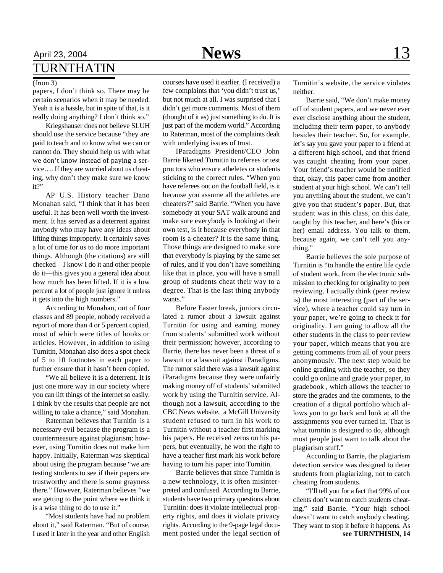## April 23, 2004 **News** 13 TURNTHATIN

#### (from 3)

papers, I don't think so. There may be certain scenarios when it may be needed. Yeah it is a hassle, but in spite of that, is it really doing anything? I don't think so."

Kriegshauser does not believe SLUH should use the service because "they are paid to teach and to know what we can or cannot do. They should help us with what we don't know instead of paying a service…. If they are worried about us cheating, why don't they make sure we know it?"

AP U.S. History teacher Dano Monahan said, "I think that it has been useful. It has been well worth the investment. It has served as a deterrent against anybody who may have any ideas about lifting things improperly. It certainly saves a lot of time for us to do more important things. Although (the citations) are still checked—I know I do it and other people do it—this gives you a general idea about how much has been lifted. If it is a low percent a lot of people just ignore it unless it gets into the high numbers."

According to Monahan, out of four classes and 89 people, nobody received a report of more than 4 or 5 percent copied, most of which were titles of books or articles. However, in addition to using Turnitin, Monahan also does a spot check of 5 to 10 footnotes in each paper to further ensure that it hasn't been copied.

"We all believe it is a deterrent. It is just one more way in our society where you can lift things of the internet so easily. I think by the results that people are not willing to take a chance," said Monahan.

Raterman believes that Turnitin is a necessary evil because the program is a countermeasure against plagiarism; however, using Turnitin does not make him happy. Initially, Raterman was skeptical about using the program because "we are testing students to see if their papers are trustworthy and there is some grayness there." However, Raterman believes "we are getting to the point where we think it is a wise thing to do to use it."

"Most students have had no problem about it," said Raterman. "But of course, I used it later in the year and other English courses have used it earlier. (I received) a few complaints that 'you didn't trust us,' but not much at all. I was surprised that I didn't get more comments. Most of them (thought of it as) just something to do. It is just part of the modern world." According to Raterman, most of the complaints dealt with underlying issues of trust.

IParadigms President/CEO John Barrie likened Turnitin to referees or test proctors who ensure atheletes or students sticking to the correct rules. "When you have referees out on the football field, is it because you assume all the athletes are cheaters?" said Barrie. "When you have somebody at your SAT walk around and make sure everybody is looking at their own test, is it because everybody in that room is a cheater? It is the same thing. Those things are designed to make sure that everybody is playing by the same set of rules, and if you don't have something like that in place, you will have a small group of students cheat their way to a degree. That is the last thing anybody wants."

Before Easter break, juniors circulated a rumor about a lawsuit against Turnitin for using and earning money from students' submitted work without their permission; however, according to Barrie, there has never been a threat of a lawsuit or a lawsuit against iParadigms. The rumor said there was a lawsuit against iParadigms because they were unfairly making money off of students' submitted work by using the Turnitin service. Although not a lawsuit, according to the CBC News website, a McGill University student refused to turn in his work to Turnitin without a teacher first marking his papers. He received zeros on his papers, but eventually, he won the right to have a teacher first mark his work before having to turn his paper into Turnitin.

Barrie believes that since Turnitin is a new technology, it is often misinterpreted and confused. According to Barrie, students have two primary questions about Turnitin: does it violate intellectual property rights, and does it violate privacy rights. According to the 9-page legal document posted under the legal section of

Turnitin's website, the service violates neither.

Barrie said, "We don't make money off of student papers, and we never ever ever disclose anything about the student, including their term paper, to anybody besides their teacher. So, for example, let's say you gave your paper to a friend at a different high school, and that friend was caught cheating from your paper. Your friend's teacher would be notified that, okay, this paper came from another student at your high school. We can't tell you anything about the student, we can't give you that student's paper. But, that student was in this class, on this date, taught by this teacher, and here's (his or her) email address. You talk to them, because again, we can't tell you anything."

Barrie believes the sole purpose of Turnitin is "to handle the entire life cycle of student work, from the electronic submission to checking for originality to peer reviewing. I actually think (peer review is) the most interesting (part of the service), where a teacher could say turn in your paper, we're going to check it for originality. I am going to allow all the other students in the class to peer review your paper, which means that you are getting comments from all of your peers anonymously. The next step would be online grading with the teacher, so they could go online and grade your paper, to gradebook , which allows the teacher to store the grades and the comments, to the creation of a digital portfolio which allows you to go back and look at all the assignments you ever turned in. That is what turnitin is designed to do, although most people just want to talk about the plagiarism stuff."

According to Barrie, the plagiarism detection service was designed to deter students from plagiarizing, not to catch cheating from students.

"I'll tell you for a fact that 99% of our clients don't want to catch students cheating," said Barrie. "Your high school doesn't want to catch anybody cheating. They want to stop it before it happens. As **see TURNTHISIN, 14**